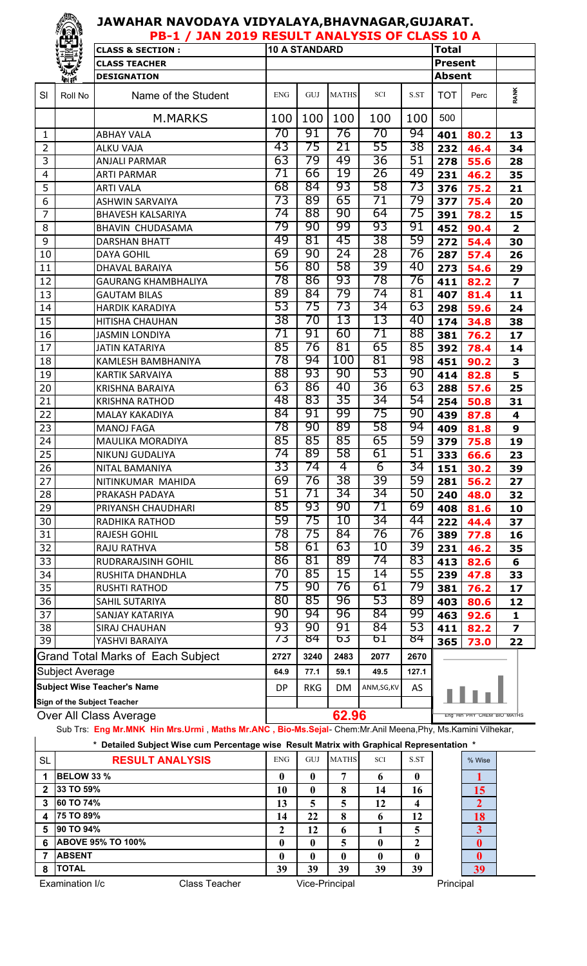## **JAWAHAR NAVODAYA VIDYALAYA,BHAVNAGAR,GUJARAT.**

| <b>TEST</b><br>PB-1 / JAN 2019 RESULT ANALYSIS OF CLASS 10 A |                 |                                          |            |                            |              |                |       |                |      |                         |  |
|--------------------------------------------------------------|-----------------|------------------------------------------|------------|----------------------------|--------------|----------------|-------|----------------|------|-------------------------|--|
|                                                              |                 | <b>CLASS &amp; SECTION:</b>              |            | <b>10 A STANDARD</b>       |              |                |       | <b>Total</b>   |      |                         |  |
|                                                              |                 | <b>CLASS TEACHER</b>                     |            |                            |              |                |       | <b>Present</b> |      |                         |  |
|                                                              | <b>Reprised</b> | <b>DESIGNATION</b>                       |            |                            |              |                |       | <b>Absent</b>  |      |                         |  |
| SI                                                           | Roll No         | Name of the Student                      | <b>ENG</b> | GUJ                        | <b>MATHS</b> | SCI            | S.ST  | <b>TOT</b>     | Perc | <b>RANK</b>             |  |
|                                                              |                 | <b>M.MARKS</b>                           | 100        | 100                        | 100          | 100            | 100   | 500            |      |                         |  |
| $\mathbf{1}$                                                 |                 | <b>ABHAY VALA</b>                        | 70         | 91                         | 76           | 70             | 94    | 401            | 80.2 | 13                      |  |
| $\overline{2}$                                               |                 | <b>ALKU VAJA</b>                         | 43         | 75                         | 21           | 55             | 38    | 232            | 46.4 | 34                      |  |
| 3                                                            |                 | <b>ANJALI PARMAR</b>                     | 63         | 79                         | 49           | 36             | 51    | 278            | 55.6 | 28                      |  |
| $\overline{\mathcal{L}}$                                     |                 | <b>ARTI PARMAR</b>                       | 71         | 66                         | 19           | 26             | 49    | 231            | 46.2 | 35                      |  |
| 5                                                            |                 | <b>ARTI VALA</b>                         | 68         | 84                         | 93           | 58             | 73    | 376            | 75.2 | 21                      |  |
| 6                                                            |                 | <b>ASHWIN SARVAIYA</b>                   | 73         | 89                         | 65           | 71             | 79    | 377            | 75.4 | 20                      |  |
| $\overline{7}$                                               |                 | <b>BHAVESH KALSARIYA</b>                 | 74         | 88                         | 90           | 64             | 75    | 391            | 78.2 | 15                      |  |
| 8                                                            |                 | BHAVIN CHUDASAMA                         | 79         | 90                         | 99           | 93             | 91    | 452            | 90.4 | $\overline{\mathbf{2}}$ |  |
| 9                                                            |                 | <b>DARSHAN BHATT</b>                     | 49         | 81                         | 45           | 38             | 59    | 272            | 54.4 | 30                      |  |
| 10                                                           |                 | <b>DAYA GOHIL</b>                        | 69         | 90                         | 24           | 28             | 76    | 287            | 57.4 | 26                      |  |
| 11                                                           |                 | <b>DHAVAL BARAIYA</b>                    | 56         | 80                         | 58           | 39             | 40    | 273            | 54.6 | 29                      |  |
| 12                                                           |                 | <b>GAURANG KHAMBHALIYA</b>               | 78         | 86                         | 93           | 78             | 76    | 411            | 82.2 | $\overline{\mathbf{z}}$ |  |
| 13                                                           |                 | <b>GAUTAM BILAS</b>                      | 89         | 84                         | 79           | 74             | 81    | 407            | 81.4 | 11                      |  |
| 14                                                           |                 | <b>HARDIK KARADIYA</b>                   | 53         | 75                         | 73           | 34             | 63    | 298            | 59.6 | 24                      |  |
| 15                                                           |                 | HITISHA CHAUHAN                          | 38         | 70                         | 13           | 13             | 40    | 174            | 34.8 | 38                      |  |
| 16                                                           |                 | <b>JASMIN LONDIYA</b>                    | 71         | 91                         | 60           | 71             | 88    | 381            | 76.2 | 17                      |  |
| 17                                                           |                 | <b>JATIN KATARIYA</b>                    | 85         | 76                         | 81           | 65             | 85    | 392            | 78.4 | 14                      |  |
| 18                                                           |                 | KAMLESH BAMBHANIYA                       | 78         | 94                         | 100          | 81             | 98    | 451            | 90.2 | 3                       |  |
| 19                                                           |                 | <b>KARTIK SARVAIYA</b>                   | 88         | 93                         | 90           | 53             | 90    | 414            | 82.8 | 5                       |  |
| 20                                                           |                 | <b>KRISHNA BARAIYA</b>                   | 63         | 86                         | 40           | 36             | 63    | 288            | 57.6 | 25                      |  |
| 21                                                           |                 | <b>KRISHNA RATHOD</b>                    | 48         | 83                         | 35           | 34             | 54    | 254            | 50.8 | 31                      |  |
| 22                                                           |                 | <b>MALAY KAKADIYA</b>                    | 84         | 91                         | 99           | 75             | 90    | 439            | 87.8 | 4                       |  |
| 23                                                           |                 | <b>MANOJ FAGA</b>                        | 78         | 90                         | 89           | 58             | 94    | 409            | 81.8 | 9                       |  |
| 24                                                           |                 | <b>MAULIKA MORADIYA</b>                  | 85         | 85                         | 85           | 65             | 59    | 379            | 75.8 | 19                      |  |
| $\overline{25}$                                              |                 | NIKUNJ GUDALIYA                          | 74         | 89                         | 58           | 61             | 51    | 333            | 66.6 | 23                      |  |
| 26                                                           |                 | NITAL BAMANIYA                           | 33         | 74                         | 4            | $\overline{6}$ | 34    | 151            | 30.2 | 39                      |  |
| 27                                                           |                 | NITINKUMAR MAHIDA                        | 69         | 76                         | 38           | 39             | 59    | 281            | 56.2 | 27                      |  |
| 28                                                           |                 | PRAKASH PADAYA                           | 51         | 71                         | 34           | 34             | 50    | 240            | 48.0 | 32                      |  |
| 29                                                           |                 | PRIYANSH CHAUDHARI                       | 85         | 93                         | 90           | 71             | 69    | 408            | 81.6 | 10                      |  |
| 30                                                           |                 | <b>RADHIKA RATHOD</b>                    | 59         | 75                         | 10           | 34             | 44    | 222            | 44.4 | 37                      |  |
| 31                                                           |                 | <b>RAJESH GOHIL</b>                      | 78         | 75                         | 84           | 76             | 76    | 389            | 77.8 | 16                      |  |
| 32                                                           |                 | RAJU RATHVA                              | 58         | 61                         | 63           | 10             | 39    | 231            | 46.2 | 35                      |  |
| 33                                                           |                 | RUDRARAJSINH GOHIL                       | 86         | 81                         | 89           | 74             | 83    | 413            | 82.6 | 6                       |  |
| 34                                                           |                 | RUSHITA DHANDHLA                         | 70         | 85                         | 15           | 14             | 55    | 239            | 47.8 | 33                      |  |
| 35                                                           |                 | <b>RUSHTI RATHOD</b>                     | 75         | 90                         | 76           | 61             | 79    | 381            | 76.2 | 17                      |  |
| 36                                                           |                 | SAHIL SUTARIYA                           | 80         | 85                         | 96           | 53             | 89    | 403            | 80.6 | 12                      |  |
| 37                                                           |                 | SANJAY KATARIYA                          | 90         | 94                         | 96           | 84             | 99    | 463            | 92.6 | 1                       |  |
| 38                                                           |                 | <b>SIRAJ CHAUHAN</b>                     | 93         | 90                         | 91           | 84             | 53    | 411            | 82.2 | 7                       |  |
| $\overline{39}$                                              |                 | YASHVI BARAIYA                           | 73         | 84                         | 63           | 61             | 84    | 365            | 73.0 | 22                      |  |
|                                                              |                 | <b>Grand Total Marks of Each Subject</b> | 2727       | 3240                       | 2483         | 2077           | 2670  |                |      |                         |  |
|                                                              | Subject Average |                                          | 64.9       | 77.1                       | 59.1         | 49.5           | 127.1 |                |      |                         |  |
|                                                              |                 | <b>Subject Wise Teacher's Name</b>       | <b>DP</b>  | <b>RKG</b>                 | DM           | ANM, SG, KV    | AS    |                |      |                         |  |
|                                                              |                 | Sign of the Subject Teacher              |            |                            |              |                |       |                |      |                         |  |
| Over All Class Average                                       |                 |                                          |            | Eng Hin PHY CHEM BIO MATHS |              |                |       |                |      |                         |  |

Sub Trs: **Eng Mr.MNK Hin Mrs.Urmi** , **Maths Mr.ANC , Bio-Ms.Sejal**- Chem:Mr.Anil Meena,Phy, Ms.Kamini Vilhekar,

| Detailed Subject Wise cum Percentage wise Result Matrix with Graphical Representation * |                          |  |              |                |              |            |           |  |                |  |
|-----------------------------------------------------------------------------------------|--------------------------|--|--------------|----------------|--------------|------------|-----------|--|----------------|--|
| <b>SL</b>                                                                               | <b>RESULT ANALYSIS</b>   |  | <b>ENG</b>   | GUJ            | <b>MATHS</b> | <b>SCI</b> | S.ST      |  | % Wise         |  |
|                                                                                         | BELOW 33 %               |  | $\mathbf{0}$ | 0              | ៗ            |            | 0         |  |                |  |
| $\mathbf{2}$                                                                            | 33 TO 59%                |  | 10           | $\mathbf 0$    | 8            | 14         | 16        |  | 15             |  |
| 3                                                                                       | 60 TO 74%                |  | 13           | 5              | 5            | 12         | 4         |  | $\overline{2}$ |  |
| 4                                                                                       | 75 TO 89%                |  | 14           | 22             | 8            | h          | 12        |  | 18             |  |
| 5                                                                                       | 90 TO 94%                |  | 2            | 12             | 6            |            | 5         |  | 3              |  |
| 6                                                                                       | <b>ABOVE 95% TO 100%</b> |  | $\mathbf{0}$ | $\mathbf 0$    | 5            |            | 2         |  | $\bf{0}$       |  |
| 7                                                                                       | <b>ABSENT</b>            |  | 0            | 0              | 0            |            | 0         |  |                |  |
| 8                                                                                       | <b>TOTAL</b>             |  | 39           | 39             | 39           | 39         | 39        |  | 39             |  |
| Examination I/c<br>Class Teacher                                                        |                          |  |              | Vice-Principal |              |            | Principal |  |                |  |

 $\mathbf{r}$